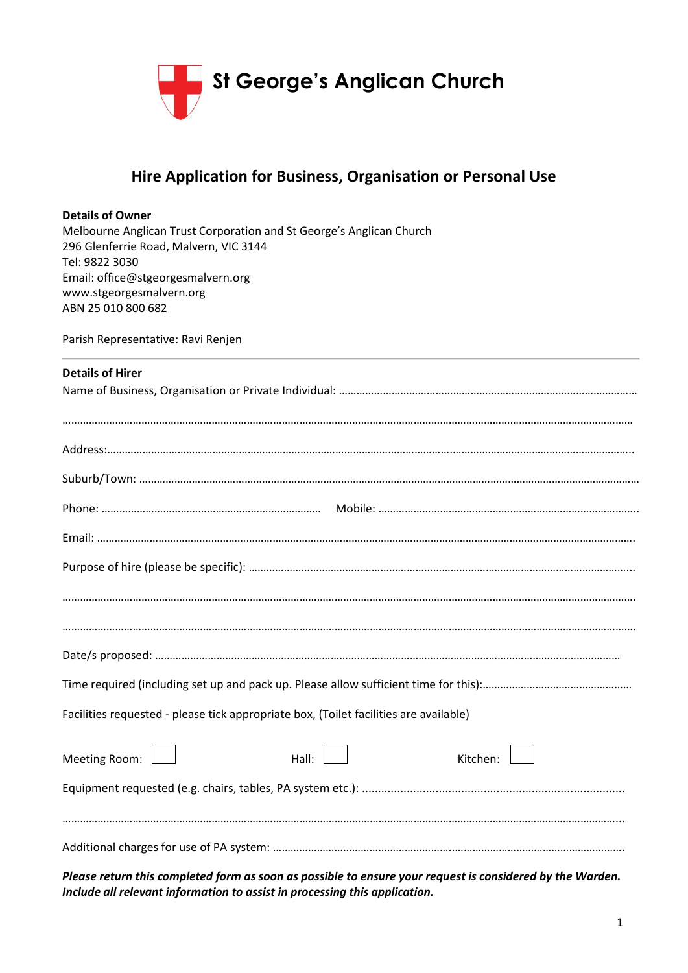

# **Hire Application for Business, Organisation or Personal Use**

| <b>Details of Owner</b>                                                                                        |  |  |  |
|----------------------------------------------------------------------------------------------------------------|--|--|--|
| Melbourne Anglican Trust Corporation and St George's Anglican Church<br>296 Glenferrie Road, Malvern, VIC 3144 |  |  |  |
|                                                                                                                |  |  |  |
| Email: office@stgeorgesmalvern.org                                                                             |  |  |  |
| www.stgeorgesmalvern.org                                                                                       |  |  |  |
| ABN 25 010 800 682                                                                                             |  |  |  |
| Parish Representative: Ravi Renjen                                                                             |  |  |  |
| <b>Details of Hirer</b>                                                                                        |  |  |  |
|                                                                                                                |  |  |  |
|                                                                                                                |  |  |  |
|                                                                                                                |  |  |  |
|                                                                                                                |  |  |  |
|                                                                                                                |  |  |  |
|                                                                                                                |  |  |  |
|                                                                                                                |  |  |  |
|                                                                                                                |  |  |  |
|                                                                                                                |  |  |  |
|                                                                                                                |  |  |  |
|                                                                                                                |  |  |  |
| Facilities requested - please tick appropriate box, (Toilet facilities are available)                          |  |  |  |
| Kitchen                                                                                                        |  |  |  |
| Meeting Room:<br>Hall:                                                                                         |  |  |  |
|                                                                                                                |  |  |  |
|                                                                                                                |  |  |  |
|                                                                                                                |  |  |  |

*Please return this completed form as soon as possible to ensure your request is considered by the Warden. Include all relevant information to assist in processing this application.*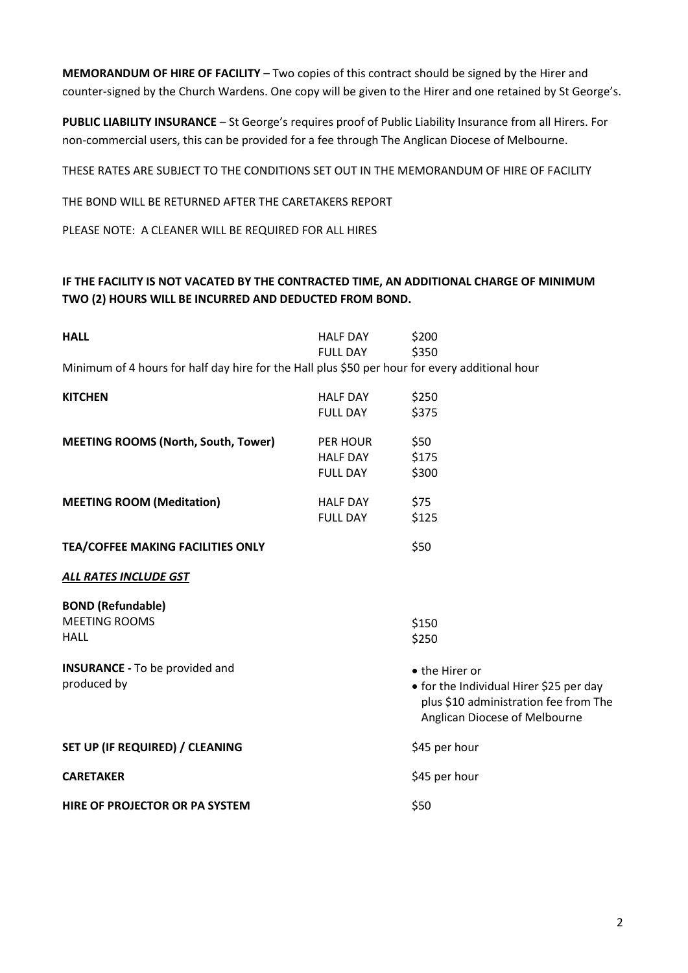**MEMORANDUM OF HIRE OF FACILITY** – Two copies of this contract should be signed by the Hirer and counter-signed by the Church Wardens. One copy will be given to the Hirer and one retained by St George's.

**PUBLIC LIABILITY INSURANCE** – St George's requires proof of Public Liability Insurance from all Hirers. For non-commercial users, this can be provided for a fee through The Anglican Diocese of Melbourne.

THESE RATES ARE SUBJECT TO THE CONDITIONS SET OUT IN THE MEMORANDUM OF HIRE OF FACILITY

THE BOND WILL BE RETURNED AFTER THE CARETAKERS REPORT

PLEASE NOTE: A CLEANER WILL BE REQUIRED FOR ALL HIRES

## **IF THE FACILITY IS NOT VACATED BY THE CONTRACTED TIME, AN ADDITIONAL CHARGE OF MINIMUM TWO (2) HOURS WILL BE INCURRED AND DEDUCTED FROM BOND.**

| <b>HALL</b>                                                                                    | <b>HALF DAY</b><br><b>FULL DAY</b>             | \$200<br>\$350                                                                                                                      |  |
|------------------------------------------------------------------------------------------------|------------------------------------------------|-------------------------------------------------------------------------------------------------------------------------------------|--|
| Minimum of 4 hours for half day hire for the Hall plus \$50 per hour for every additional hour |                                                |                                                                                                                                     |  |
| <b>KITCHEN</b>                                                                                 | <b>HALF DAY</b><br><b>FULL DAY</b>             | \$250<br>\$375                                                                                                                      |  |
| <b>MEETING ROOMS (North, South, Tower)</b>                                                     | PER HOUR<br><b>HALF DAY</b><br><b>FULL DAY</b> | \$50<br>\$175<br>\$300                                                                                                              |  |
| <b>MEETING ROOM (Meditation)</b>                                                               | <b>HALF DAY</b><br><b>FULL DAY</b>             | \$75<br>\$125                                                                                                                       |  |
| <b>TEA/COFFEE MAKING FACILITIES ONLY</b>                                                       |                                                | \$50                                                                                                                                |  |
| ALL RATES INCLUDE GST                                                                          |                                                |                                                                                                                                     |  |
| <b>BOND (Refundable)</b><br><b>MEETING ROOMS</b><br><b>HALL</b>                                |                                                | \$150<br>\$250                                                                                                                      |  |
| <b>INSURANCE - To be provided and</b><br>produced by                                           |                                                | • the Hirer or<br>• for the Individual Hirer \$25 per day<br>plus \$10 administration fee from The<br>Anglican Diocese of Melbourne |  |
| SET UP (IF REQUIRED) / CLEANING                                                                |                                                | \$45 per hour                                                                                                                       |  |
| <b>CARETAKER</b>                                                                               |                                                | \$45 per hour                                                                                                                       |  |
| HIRE OF PROJECTOR OR PA SYSTEM                                                                 |                                                | \$50                                                                                                                                |  |